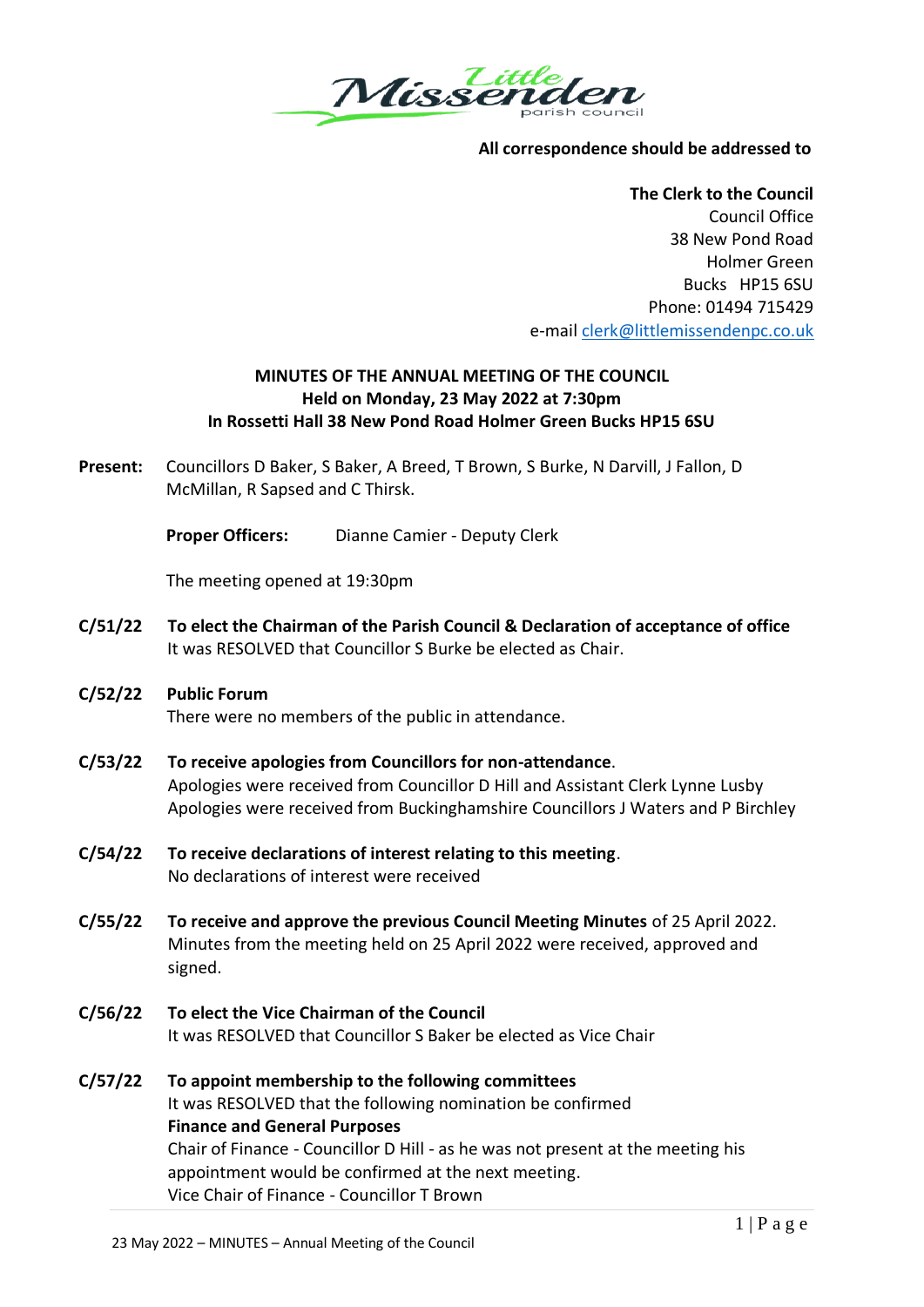

## **All correspondence should be addressed to**

**The Clerk to the Council** Council Office 38 New Pond Road Holmer Green Bucks HP15 6SU Phone: 01494 715429 e-mail [clerk@littlemissendenpc.co.uk](mailto:clerk@littlemissendenpc.co.uk)

# **MINUTES OF THE ANNUAL MEETING OF THE COUNCIL Held on Monday, 23 May 2022 at 7:30pm In Rossetti Hall 38 New Pond Road Holmer Green Bucks HP15 6SU**

**Present:** Councillors D Baker, S Baker, A Breed, T Brown, S Burke, N Darvill, J Fallon, D McMillan, R Sapsed and C Thirsk.

**Proper Officers:** Dianne Camier - Deputy Clerk

The meeting opened at 19:30pm

- **C/51/22 To elect the Chairman of the Parish Council & Declaration of acceptance of office** It was RESOLVED that Councillor S Burke be elected as Chair.
- **C/52/22 Public Forum** There were no members of the public in attendance.
- **C/53/22 To receive apologies from Councillors for non-attendance**. Apologies were received from Councillor D Hill and Assistant Clerk Lynne Lusby Apologies were received from Buckinghamshire Councillors J Waters and P Birchley
- **C/54/22 To receive declarations of interest relating to this meeting**. No declarations of interest were received
- **C/55/22 To receive and approve the previous Council Meeting Minutes** of 25 April 2022. Minutes from the meeting held on 25 April 2022 were received, approved and signed.
- **C/56/22 To elect the Vice Chairman of the Council** It was RESOLVED that Councillor S Baker be elected as Vice Chair
- **C/57/22 To appoint membership to the following committees** It was RESOLVED that the following nomination be confirmed **Finance and General Purposes** Chair of Finance - Councillor D Hill - as he was not present at the meeting his appointment would be confirmed at the next meeting. Vice Chair of Finance - Councillor T Brown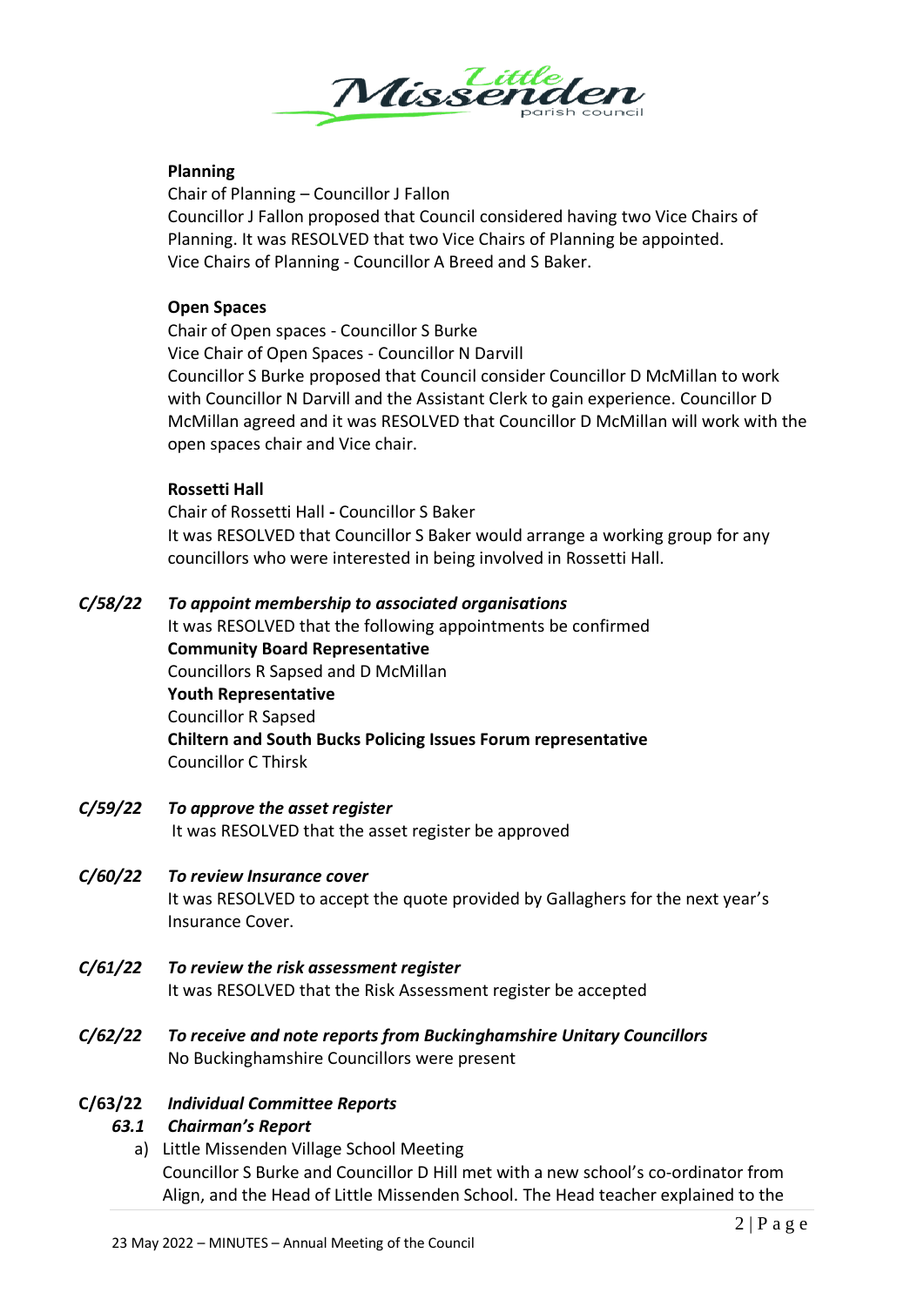

# **Planning**

Chair of Planning – Councillor J Fallon Councillor J Fallon proposed that Council considered having two Vice Chairs of Planning. It was RESOLVED that two Vice Chairs of Planning be appointed. Vice Chairs of Planning - Councillor A Breed and S Baker.

## **Open Spaces**

Chair of Open spaces - Councillor S Burke Vice Chair of Open Spaces - Councillor N Darvill Councillor S Burke proposed that Council consider Councillor D McMillan to work with Councillor N Darvill and the Assistant Clerk to gain experience. Councillor D McMillan agreed and it was RESOLVED that Councillor D McMillan will work with the open spaces chair and Vice chair.

#### **Rossetti Hall**

Chair of Rossetti Hall **-** Councillor S Baker It was RESOLVED that Councillor S Baker would arrange a working group for any councillors who were interested in being involved in Rossetti Hall.

## *C/58/22 To appoint membership to associated organisations*

It was RESOLVED that the following appointments be confirmed **Community Board Representative** Councillors R Sapsed and D McMillan **Youth Representative** Councillor R Sapsed **Chiltern and South Bucks Policing Issues Forum representative** Councillor C Thirsk

*C/59/22 To approve the asset register* It was RESOLVED that the asset register be approved

# *C/60/22 To review Insurance cover*

It was RESOLVED to accept the quote provided by Gallaghers for the next year's Insurance Cover.

- *C/61/22 To review the risk assessment register* It was RESOLVED that the Risk Assessment register be accepted
- *C/62/22 To receive and note reports from Buckinghamshire Unitary Councillors* No Buckinghamshire Councillors were present

# **C/63/22** *Individual Committee Reports*

# *63.1 Chairman's Report*

a) Little Missenden Village School Meeting Councillor S Burke and Councillor D Hill met with a new school's co-ordinator from Align, and the Head of Little Missenden School. The Head teacher explained to the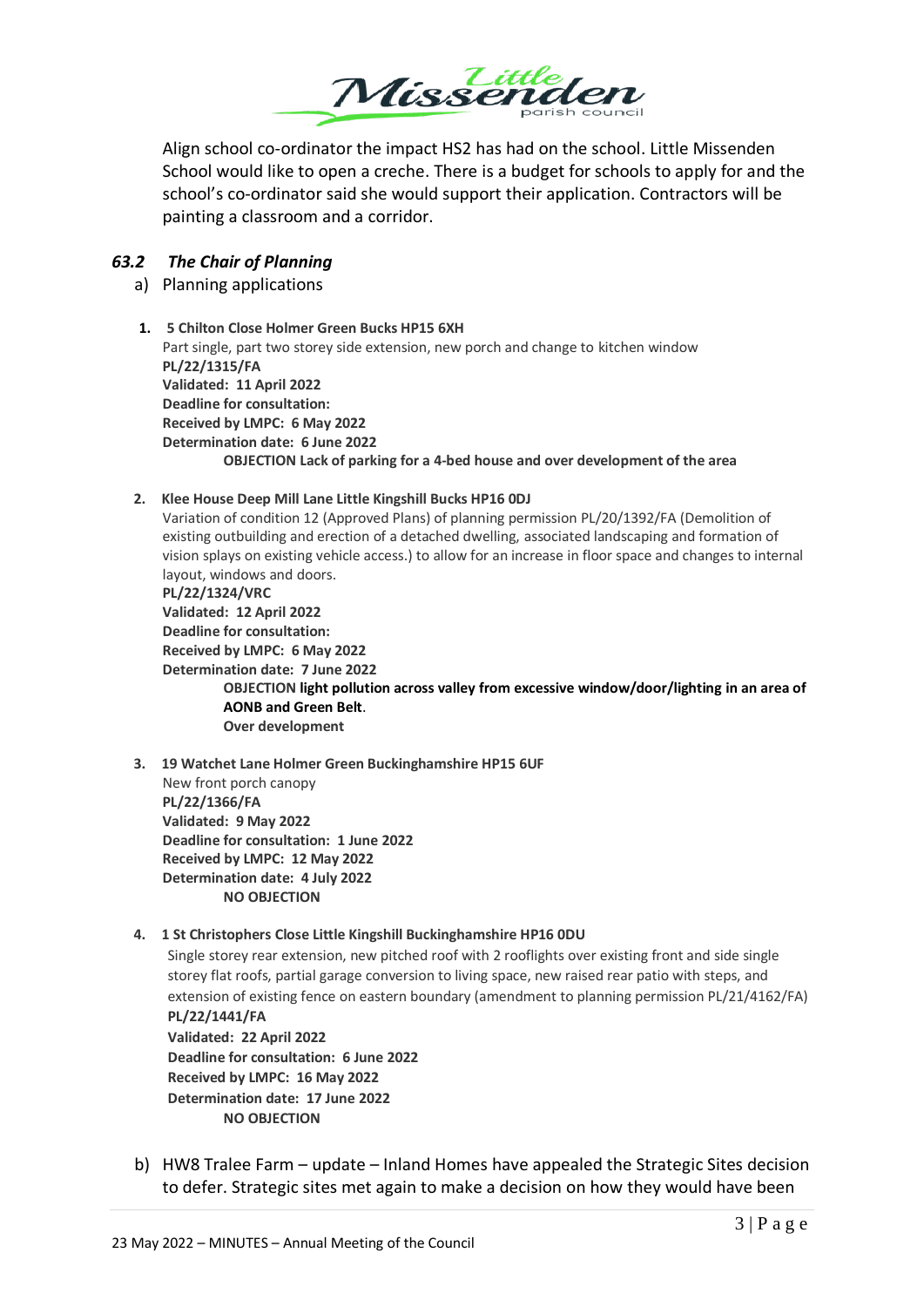

Align school co-ordinator the impact HS2 has had on the school. Little Missenden School would like to open a creche. There is a budget for schools to apply for and the school's co-ordinator said she would support their application. Contractors will be painting a classroom and a corridor.

# *63.2 The Chair of Planning*

## a) Planning applications

**1. 5 Chilton Close Holmer Green Bucks HP15 6XH** Part single, part two storey side extension, new porch and change to kitchen window **PL/22/1315/FA Validated: 11 April 2022 Deadline for consultation: Received by LMPC: 6 May 2022 Determination date: 6 June 2022 OBJECTION Lack of parking for a 4-bed house and over development of the area**

#### **2. Klee House Deep Mill Lane Little Kingshill Bucks HP16 0DJ**

Variation of condition 12 (Approved Plans) of planning permission PL/20/1392/FA (Demolition of existing outbuilding and erection of a detached dwelling, associated landscaping and formation of vision splays on existing vehicle access.) to allow for an increase in floor space and changes to internal layout, windows and doors.

**PL/22/1324/VRC Validated: 12 April 2022 Deadline for consultation: Received by LMPC: 6 May 2022 Determination date: 7 June 2022 OBJECTION light pollution across valley from excessive window/door/lighting in an area of AONB and Green Belt**. **Over development**

**3. 19 Watchet Lane Holmer Green Buckinghamshire HP15 6UF** New front porch canopy **PL/22/1366/FA Validated: 9 May 2022 Deadline for consultation: 1 June 2022 Received by LMPC: 12 May 2022 Determination date: 4 July 2022 NO OBJECTION**

#### **4. 1 St Christophers Close Little Kingshill Buckinghamshire HP16 0DU**

Single storey rear extension, new pitched roof with 2 rooflights over existing front and side single storey flat roofs, partial garage conversion to living space, new raised rear patio with steps, and extension of existing fence on eastern boundary (amendment to planning permission PL/21/4162/FA) **PL/22/1441/FA**

**Validated: 22 April 2022 Deadline for consultation: 6 June 2022 Received by LMPC: 16 May 2022 Determination date: 17 June 2022 NO OBJECTION**

b) HW8 Tralee Farm – update – Inland Homes have appealed the Strategic Sites decision to defer. Strategic sites met again to make a decision on how they would have been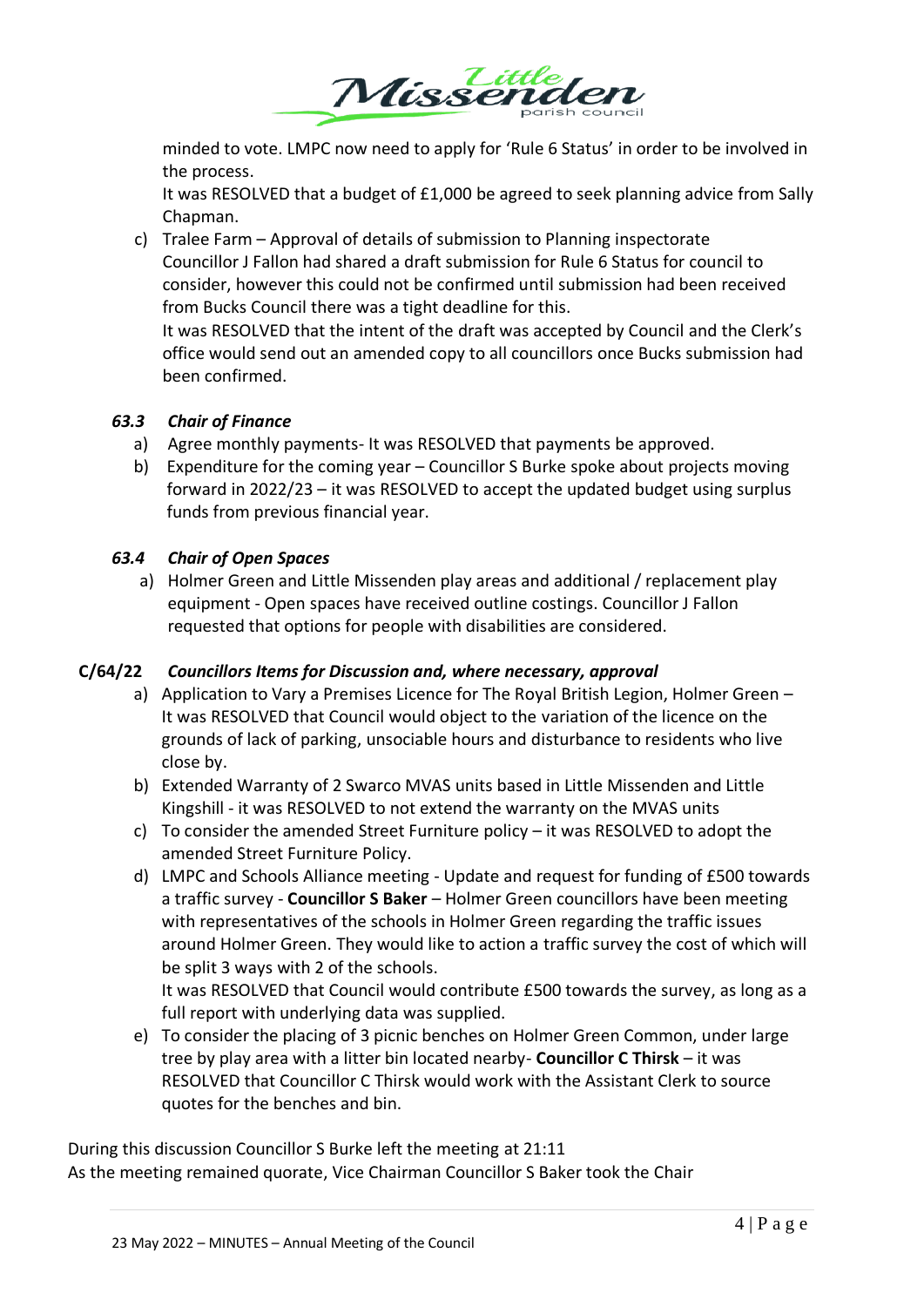

minded to vote. LMPC now need to apply for 'Rule 6 Status' in order to be involved in the process.

It was RESOLVED that a budget of £1,000 be agreed to seek planning advice from Sally Chapman.

c) Tralee Farm – Approval of details of submission to Planning inspectorate Councillor J Fallon had shared a draft submission for Rule 6 Status for council to consider, however this could not be confirmed until submission had been received from Bucks Council there was a tight deadline for this.

It was RESOLVED that the intent of the draft was accepted by Council and the Clerk's office would send out an amended copy to all councillors once Bucks submission had been confirmed.

# *63.3 Chair of Finance*

- a) Agree monthly payments- It was RESOLVED that payments be approved.
- b) Expenditure for the coming year Councillor S Burke spoke about projects moving forward in 2022/23 – it was RESOLVED to accept the updated budget using surplus funds from previous financial year.

# *63.4 Chair of Open Spaces*

a) Holmer Green and Little Missenden play areas and additional / replacement play equipment - Open spaces have received outline costings. Councillor J Fallon requested that options for people with disabilities are considered.

# **C/64/22** *Councillors Items for Discussion and, where necessary, approval*

- a) Application to Vary a Premises Licence for The Royal British Legion, Holmer Green It was RESOLVED that Council would object to the variation of the licence on the grounds of lack of parking, unsociable hours and disturbance to residents who live close by.
- b) Extended Warranty of 2 Swarco MVAS units based in Little Missenden and Little Kingshill - it was RESOLVED to not extend the warranty on the MVAS units
- c) To consider the amended Street Furniture policy it was RESOLVED to adopt the amended Street Furniture Policy.
- d) LMPC and Schools Alliance meeting Update and request for funding of £500 towards a traffic survey - **Councillor S Baker** – Holmer Green councillors have been meeting with representatives of the schools in Holmer Green regarding the traffic issues around Holmer Green. They would like to action a traffic survey the cost of which will be split 3 ways with 2 of the schools.

It was RESOLVED that Council would contribute £500 towards the survey, as long as a full report with underlying data was supplied.

e) To consider the placing of 3 picnic benches on Holmer Green Common, under large tree by play area with a litter bin located nearby- **Councillor C Thirsk** – it was RESOLVED that Councillor C Thirsk would work with the Assistant Clerk to source quotes for the benches and bin.

During this discussion Councillor S Burke left the meeting at 21:11 As the meeting remained quorate, Vice Chairman Councillor S Baker took the Chair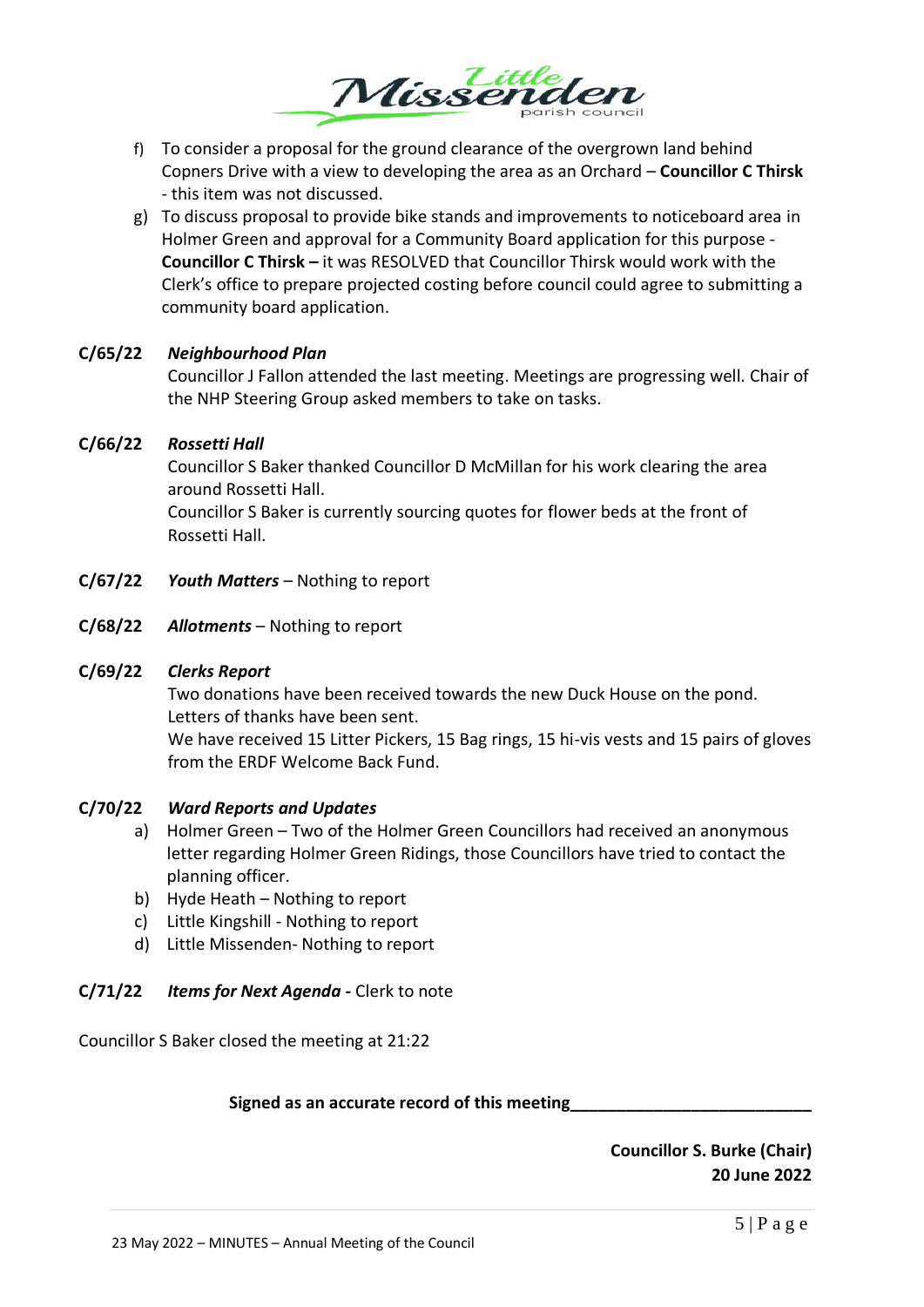

- f) To consider a proposal for the ground clearance of the overgrown land behind Copners Drive with a view to developing the area as an Orchard – **Councillor C Thirsk** - this item was not discussed.
- g) To discuss proposal to provide bike stands and improvements to noticeboard area in Holmer Green and approval for a Community Board application for this purpose - **Councillor C Thirsk –** it was RESOLVED that Councillor Thirsk would work with the Clerk's office to prepare projected costing before council could agree to submitting a community board application.

## **C/65/22** *Neighbourhood Plan*

Councillor J Fallon attended the last meeting. Meetings are progressing well. Chair of the NHP Steering Group asked members to take on tasks.

## **C/66/22** *Rossetti Hall*

Councillor S Baker thanked Councillor D McMillan for his work clearing the area around Rossetti Hall.

Councillor S Baker is currently sourcing quotes for flower beds at the front of Rossetti Hall.

- **C/67/22** *Youth Matters* Nothing to report
- **C/68/22** *Allotments* Nothing to report

#### **C/69/22** *Clerks Report*

Two donations have been received towards the new Duck House on the pond. Letters of thanks have been sent.

We have received 15 Litter Pickers, 15 Bag rings, 15 hi-vis vests and 15 pairs of gloves from the ERDF Welcome Back Fund.

#### **C/70/22** *Ward Reports and Updates*

- a) Holmer Green Two of the Holmer Green Councillors had received an anonymous letter regarding Holmer Green Ridings, those Councillors have tried to contact the planning officer.
- b) Hyde Heath Nothing to report
- c) Little Kingshill Nothing to report
- d) Little Missenden- Nothing to report

# **C/71/22** *Items for Next Agenda -* Clerk to note

Councillor S Baker closed the meeting at 21:22

#### **Signed as an accurate record of this meeting\_\_\_\_\_\_\_\_\_\_\_\_\_\_\_\_\_\_\_\_\_\_\_\_\_\_**

**Councillor S. Burke (Chair) 20 June 2022**